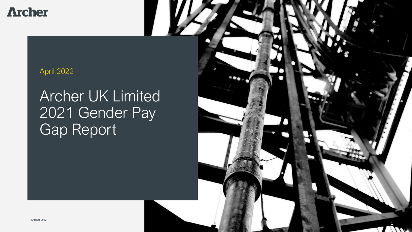**Archer** 

# April 2022

# Archer UK Limited 2021 Gender Pay Gap Report

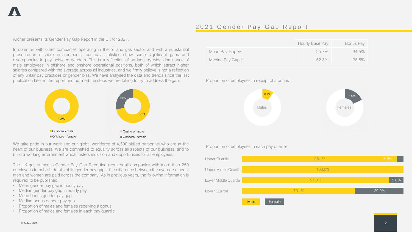## 2021 Gender Pay Gap Report

Archer presents its Gender Pay Gap Report in the UK for 2021.

In common with other companies operating in the oil and gas sector and with a substantial presence in offshore environments, our pay statistics show some significant gaps and discrepancies in pay between genders. This is a reflection of an industry wide dominance of male employees in offshore and onshore operational positions, both of which attract higher salaries compared with the average across all industries, and we firmly believe is not a reflection of any unfair pay practices or gender bias. We have analysed the data and trends since the last publication later in the report and outlined the steps we are taking to try to address the gap.



We take pride in our work and our global workforce of 4,500 skilled personnel who are at the Proportion of employees in each pay quartile heart of our business. We are committed to equality across all aspects of our business, and to build a working environment which fosters inclusion and opportunities for all employees.

The UK government's Gender Pay Gap Reporting requires all companies with more than 250 employees to publish details of its gender pay gap – the difference between the average amount men and women are paid across the company. As in previous years, the following information is required to be published:

- Mean gender pay gap in hourly pay
- Median gender pay gap in hourly pay
- Mean bonus gender pay gap
- Median bonus gender pay gap
- Proportion of males and females receiving a bonus
- Proportion of males and females in each pay quartile

|                  | Hourly Base Pay | Bonus Pay |
|------------------|-----------------|-----------|
| Mean Pay Gap %   | $25.7\%$        | 34.5%     |
| Median Pay Gap % | $52.3\%$        | 38.5%     |

### Proportion of employees in receipt of a bonus



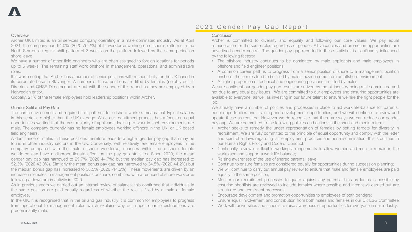# 2021 Gender Pay Gap Report

#### **Overview**

Archer UK Limited is an oil services company operating in a male dominated industry. As at April 2021, the company had 64.0% (2020 75.2%) of its workforce working on offshore platforms in the North Sea on a regular shift pattern of 3 weeks on the platform followed by the same period on shore leave.

We have a number of other field engineers who are often assigned to foreign locations for periods up to 6 weeks. The remaining staff work onshore in management, operational and administrative roles.

It is worth noting that Archer has a number of senior positions with responsibility for the UK based in its corporate base in Stavanger. A number of these positions are filled by females (notably our IT Director and QHSE Director) but are out with the scope of this report as they are employed by a Norwegian entity.

Globally, 21% of the female employees hold leadership positions within Archer.

#### Gender Split and Pay Gap

The harsh environment and required shift patterns for offshore workers means that typical salaries in this sector are higher than the UK average. While our recruitment process has a focus on equal opportunities we find that the vast majority of applicants looking to work in such environments are male. The company currently has no female employees working offshore in the UK, or UK based field engineers.

A dominance of males in these positions therefore leads to a higher gender pay gap than may be found in other industry sectors in the UK. Conversely, with relatively few female employees in the company compared with the male offshore workforce, changes within the onshore female workforce can have a disproportionate effect on the pay gap statistics. Since 2020, the mean gender pay gap has narrowed to 25.7% (2020 44.7%) but the median pay gap has increased to 52.3% (2020 43.0%). Similarly the mean bonus pay gap has narrowed to 34.5% (2020 44.2%) but the median bonus gap has increased to 38.5% (2020 -14.2%). These movements are driven by an increase in females in management positions onshore, combined with a reduced offshore workforce following a downturn in activity in 2020.

As in previous years we carried out an internal review of salaries; this confirmed that individuals in the same position are paid equally regardless of whether the role is filled by a male or female employee.

In the UK, it is recognised that in the oil and gas industry it is common for employees to progress from operational to management roles which explains why our upper quartile distributions are predominantly male.

#### **Conclusion**

Archer is committed to diversity and equality and following our core values. We pay equal remuneration for the same roles regardless of gender. All vacancies and promotion opportunities are advertised gender neutral. The gender pay gap reported in these statistics is significantly influenced by the following factors:

- The offshore industry continues to be dominated by male applicants and male employees in offshore and field engineer positions.
- A common career path is to progress from a senior position offshore to a management position onshore; these roles tend to be filled by males, having come from an offshore environment.
- A higher proportion of technical and engineering positions are filled by males.

We are confident our gender pay gap results are driven by the oil industry being male dominated and not due to any equal pay issues. We are committed to our employees and ensuring opportunities are available to everyone, as well as investing in our future talent to ensure we hire the right people for the job.

We already have a number of policies and processes in place to aid work life-balance for parents, equal opportunities and training and development opportunities, and we will continue to review and update these as required. However we do recognise that there are ways we can reduce our gender pay gap. We are committed to the following policies and actions in the short and medium term:

- Archer seeks to remedy the under representation of females by setting targets for diversity in recruitment. We are fully committed to the principle of equal opportunity and comply with the letter and spirit of all laws regarding fair employment practices and non-discrimination; this is outlined in our Human Rights Policy and Code of Conduct;
- Continually review our flexible working arrangements to allow women and men to remain in the workplace and support a work life balance;
- Raising awareness of the use of shared parental leave;
- Continue to ensure females are considered equally for opportunities during succession planning;
- We will continue to carry out annual pay review to ensure that male and female employees are paid equally in the same position;
- Monitor our recruitment processes to guard against any potential bias as far as is possible by ensuring shortlists are reviewed to include females where possible and interviews carried out are structured and consistent processes;
- Encourage development and promotion opportunities to employees of both genders;
- Ensure equal involvement and contribution from both males and females in our UK ESG Committee
- Work with universities and schools to raise awareness of opportunities for everyone in our industry.